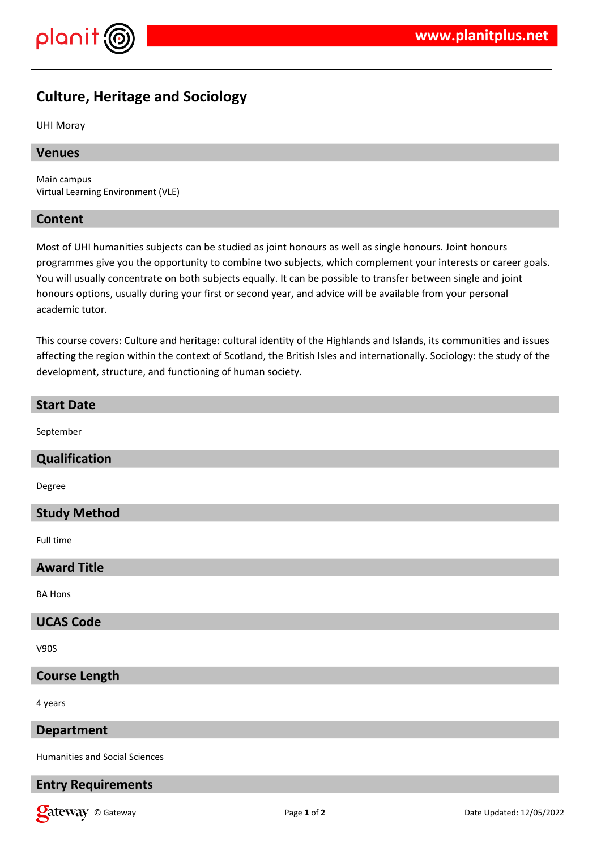

## **Culture, Heritage and Sociology**

UHI Moray

### **Venues**

Main campus Virtual Learning Environment (VLE)

#### **Content**

**Start Date**

Most of UHI humanities subjects can be studied as joint honours as well as single honours. Joint honours programmes give you the opportunity to combine two subjects, which complement your interests or career goals. You will usually concentrate on both subjects equally. It can be possible to transfer between single and joint honours options, usually during your first or second year, and advice will be available from your personal academic tutor.

This course covers: Culture and heritage: cultural identity of the Highlands and Islands, its communities and issues affecting the region within the context of Scotland, the British Isles and internationally. Sociology: the study of the development, structure, and functioning of human society.

# September **Qualification** Degree **Study Method** Full time **Award Title** BA Hons **UCAS Code** V90S **Course Length** 4 years **Department** Humanities and Social Sciences

## **Entry Requirements**